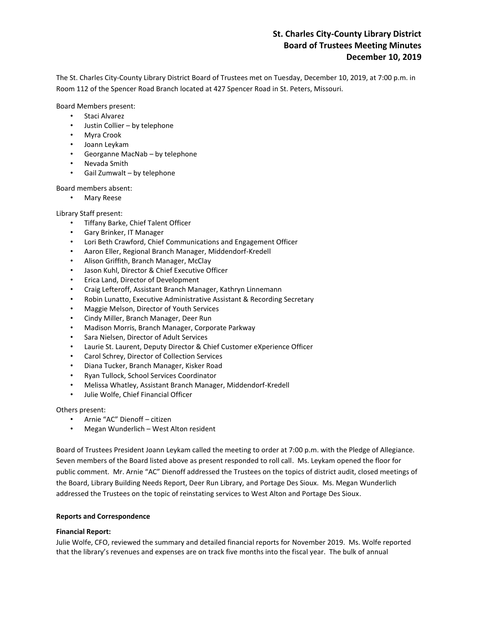# **St. Charles City-County Library District Board of Trustees Meeting Minutes December 10, 2019**

The St. Charles City-County Library District Board of Trustees met on Tuesday, December 10, 2019, at 7:00 p.m. in Room 112 of the Spencer Road Branch located at 427 Spencer Road in St. Peters, Missouri.

Board Members present:

- Staci Alvarez
- Justin Collier by telephone
- Myra Crook
- Joann Leykam
- Georganne MacNab by telephone
- Nevada Smith
- Gail Zumwalt by telephone

Board members absent:

• Mary Reese

Library Staff present:

- Tiffany Barke, Chief Talent Officer
- Gary Brinker, IT Manager
- Lori Beth Crawford, Chief Communications and Engagement Officer
- Aaron Eller, Regional Branch Manager, Middendorf-Kredell
- Alison Griffith, Branch Manager, McClay
- Jason Kuhl, Director & Chief Executive Officer
- Erica Land, Director of Development
- Craig Lefteroff, Assistant Branch Manager, Kathryn Linnemann
- Robin Lunatto, Executive Administrative Assistant & Recording Secretary
- Maggie Melson, Director of Youth Services
- Cindy Miller, Branch Manager, Deer Run
- Madison Morris, Branch Manager, Corporate Parkway
- Sara Nielsen, Director of Adult Services
- Laurie St. Laurent, Deputy Director & Chief Customer eXperience Officer
- Carol Schrey, Director of Collection Services
- Diana Tucker, Branch Manager, Kisker Road
- Ryan Tullock, School Services Coordinator
- Melissa Whatley, Assistant Branch Manager, Middendorf-Kredell
- Julie Wolfe, Chief Financial Officer

## Others present:

- Arnie "AC" Dienoff citizen
- Megan Wunderlich West Alton resident

Board of Trustees President Joann Leykam called the meeting to order at 7:00 p.m. with the Pledge of Allegiance. Seven members of the Board listed above as present responded to roll call. Ms. Leykam opened the floor for public comment. Mr. Arnie "AC" Dienoff addressed the Trustees on the topics of district audit, closed meetings of the Board, Library Building Needs Report, Deer Run Library, and Portage Des Sioux. Ms. Megan Wunderlich addressed the Trustees on the topic of reinstating services to West Alton and Portage Des Sioux.

# **Reports and Correspondence**

## **Financial Report:**

Julie Wolfe, CFO, reviewed the summary and detailed financial reports for November 2019. Ms. Wolfe reported that the library's revenues and expenses are on track five months into the fiscal year. The bulk of annual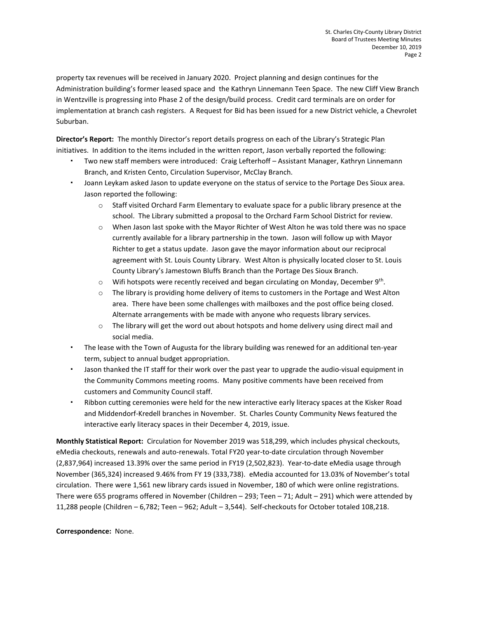property tax revenues will be received in January 2020. Project planning and design continues for the Administration building's former leased space and the Kathryn Linnemann Teen Space. The new Cliff View Branch in Wentzville is progressing into Phase 2 of the design/build process. Credit card terminals are on order for implementation at branch cash registers. A Request for Bid has been issued for a new District vehicle, a Chevrolet Suburban.

**Director's Report:** The monthly Director's report details progress on each of the Library's Strategic Plan initiatives. In addition to the items included in the written report, Jason verbally reported the following:

- Two new staff members were introduced: Craig Lefterhoff Assistant Manager, Kathryn Linnemann Branch, and Kristen Cento, Circulation Supervisor, McClay Branch.
- Joann Leykam asked Jason to update everyone on the status of service to the Portage Des Sioux area. Jason reported the following:
	- o Staff visited Orchard Farm Elementary to evaluate space for a public library presence at the school. The Library submitted a proposal to the Orchard Farm School District for review.
	- o When Jason last spoke with the Mayor Richter of West Alton he was told there was no space currently available for a library partnership in the town. Jason will follow up with Mayor Richter to get a status update. Jason gave the mayor information about our reciprocal agreement with St. Louis County Library. West Alton is physically located closer to St. Louis County Library's Jamestown Bluffs Branch than the Portage Des Sioux Branch.
	- $\circ$  Wifi hotspots were recently received and began circulating on Monday, December 9<sup>th</sup>.
	- o The library is providing home delivery of items to customers in the Portage and West Alton area. There have been some challenges with mailboxes and the post office being closed. Alternate arrangements with be made with anyone who requests library services.
	- $\circ$  The library will get the word out about hotspots and home delivery using direct mail and social media.
- The lease with the Town of Augusta for the library building was renewed for an additional ten-year term, subject to annual budget appropriation.
- Jason thanked the IT staff for their work over the past year to upgrade the audio-visual equipment in the Community Commons meeting rooms. Many positive comments have been received from customers and Community Council staff.
- Ribbon cutting ceremonies were held for the new interactive early literacy spaces at the Kisker Road and Middendorf-Kredell branches in November. St. Charles County Community News featured the interactive early literacy spaces in their December 4, 2019, issue.

**Monthly Statistical Report:** Circulation for November 2019 was 518,299, which includes physical checkouts, eMedia checkouts, renewals and auto-renewals. Total FY20 year-to-date circulation through November (2,837,964) increased 13.39% over the same period in FY19 (2,502,823). Year-to-date eMedia usage through November (365,324) increased 9.46% from FY 19 (333,738). eMedia accounted for 13.03% of November's total circulation. There were 1,561 new library cards issued in November, 180 of which were online registrations. There were 655 programs offered in November (Children – 293; Teen – 71; Adult – 291) which were attended by 11,288 people (Children – 6,782; Teen – 962; Adult – 3,544). Self-checkouts for October totaled 108,218.

# **Correspondence:** None.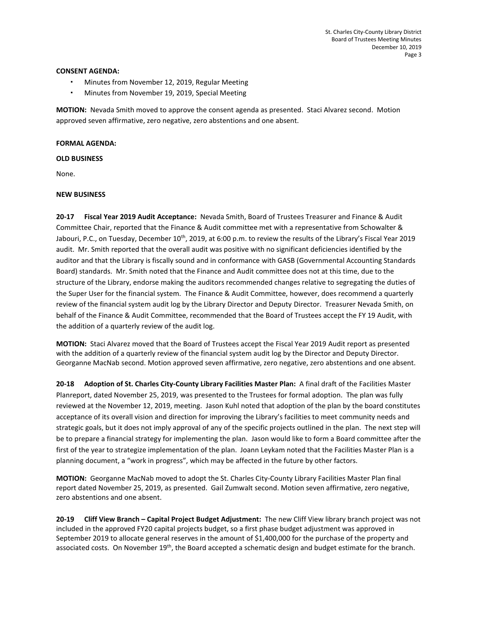## **CONSENT AGENDA:**

- Minutes from November 12, 2019, Regular Meeting
- Minutes from November 19, 2019, Special Meeting

**MOTION:** Nevada Smith moved to approve the consent agenda as presented. Staci Alvarez second. Motion approved seven affirmative, zero negative, zero abstentions and one absent.

# **FORMAL AGENDA:**

**OLD BUSINESS**

None.

# **NEW BUSINESS**

**20-17 Fiscal Year 2019 Audit Acceptance:** Nevada Smith, Board of Trustees Treasurer and Finance & Audit Committee Chair, reported that the Finance & Audit committee met with a representative from Schowalter & Jabouri, P.C., on Tuesday, December  $10^{th}$ , 2019, at 6:00 p.m. to review the results of the Library's Fiscal Year 2019 audit. Mr. Smith reported that the overall audit was positive with no significant deficiencies identified by the auditor and that the Library is fiscally sound and in conformance with GASB (Governmental Accounting Standards Board) standards. Mr. Smith noted that the Finance and Audit committee does not at this time, due to the structure of the Library, endorse making the auditors recommended changes relative to segregating the duties of the Super User for the financial system. The Finance & Audit Committee, however, does recommend a quarterly review of the financial system audit log by the Library Director and Deputy Director. Treasurer Nevada Smith, on behalf of the Finance & Audit Committee, recommended that the Board of Trustees accept the FY 19 Audit, with the addition of a quarterly review of the audit log.

**MOTION:** Staci Alvarez moved that the Board of Trustees accept the Fiscal Year 2019 Audit report as presented with the addition of a quarterly review of the financial system audit log by the Director and Deputy Director. Georganne MacNab second. Motion approved seven affirmative, zero negative, zero abstentions and one absent.

**20-18 Adoption of St. Charles City-County Library Facilities Master Plan:** A final draft of the Facilities Master Planreport, dated November 25, 2019, was presented to the Trustees for formal adoption. The plan was fully reviewed at the November 12, 2019, meeting. Jason Kuhl noted that adoption of the plan by the board constitutes acceptance of its overall vision and direction for improving the Library's facilities to meet community needs and strategic goals, but it does not imply approval of any of the specific projects outlined in the plan. The next step will be to prepare a financial strategy for implementing the plan. Jason would like to form a Board committee after the first of the year to strategize implementation of the plan. Joann Leykam noted that the Facilities Master Plan is a planning document, a "work in progress", which may be affected in the future by other factors.

**MOTION:** Georganne MacNab moved to adopt the St. Charles City-County Library Facilities Master Plan final report dated November 25, 2019, as presented. Gail Zumwalt second. Motion seven affirmative, zero negative, zero abstentions and one absent.

**20-19 Cliff View Branch – Capital Project Budget Adjustment:** The new Cliff View library branch project was not included in the approved FY20 capital projects budget, so a first phase budget adjustment was approved in September 2019 to allocate general reserves in the amount of \$1,400,000 for the purchase of the property and associated costs. On November 19<sup>th</sup>, the Board accepted a schematic design and budget estimate for the branch.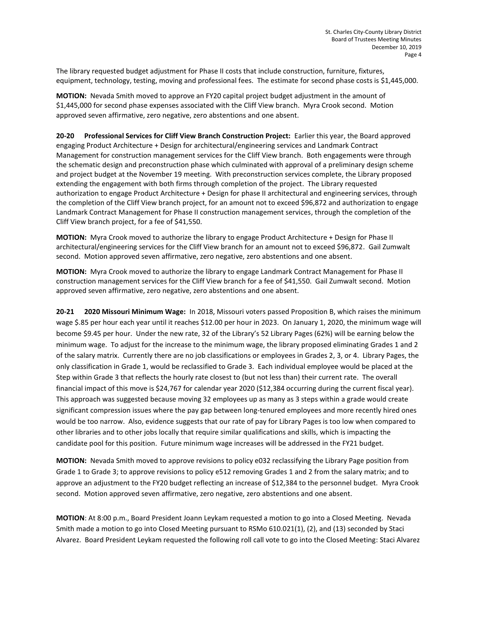The library requested budget adjustment for Phase II costs that include construction, furniture, fixtures, equipment, technology, testing, moving and professional fees. The estimate for second phase costs is \$1,445,000.

**MOTION:** Nevada Smith moved to approve an FY20 capital project budget adjustment in the amount of \$1,445,000 for second phase expenses associated with the Cliff View branch. Myra Crook second. Motion approved seven affirmative, zero negative, zero abstentions and one absent.

**20-20 Professional Services for Cliff View Branch Construction Project:** Earlier this year, the Board approved engaging Product Architecture + Design for architectural/engineering services and Landmark Contract Management for construction management services for the Cliff View branch. Both engagements were through the schematic design and preconstruction phase which culminated with approval of a preliminary design scheme and project budget at the November 19 meeting. With preconstruction services complete, the Library proposed extending the engagement with both firms through completion of the project. The Library requested authorization to engage Product Architecture + Design for phase II architectural and engineering services, through the completion of the Cliff View branch project, for an amount not to exceed \$96,872 and authorization to engage Landmark Contract Management for Phase II construction management services, through the completion of the Cliff View branch project, for a fee of \$41,550.

**MOTION:** Myra Crook moved to authorize the library to engage Product Architecture + Design for Phase II architectural/engineering services for the Cliff View branch for an amount not to exceed \$96,872. Gail Zumwalt second. Motion approved seven affirmative, zero negative, zero abstentions and one absent.

**MOTION:** Myra Crook moved to authorize the library to engage Landmark Contract Management for Phase II construction management services for the Cliff View branch for a fee of \$41,550. Gail Zumwalt second. Motion approved seven affirmative, zero negative, zero abstentions and one absent.

**20-21 2020 Missouri Minimum Wage:** In 2018, Missouri voters passed Proposition B, which raises the minimum wage \$.85 per hour each year until it reaches \$12.00 per hour in 2023. On January 1, 2020, the minimum wage will become \$9.45 per hour. Under the new rate, 32 of the Library's 52 Library Pages (62%) will be earning below the minimum wage. To adjust for the increase to the minimum wage, the library proposed eliminating Grades 1 and 2 of the salary matrix. Currently there are no job classifications or employees in Grades 2, 3, or 4. Library Pages, the only classification in Grade 1, would be reclassified to Grade 3. Each individual employee would be placed at the Step within Grade 3 that reflects the hourly rate closest to (but not less than) their current rate. The overall financial impact of this move is \$24,767 for calendar year 2020 (\$12,384 occurring during the current fiscal year). This approach was suggested because moving 32 employees up as many as 3 steps within a grade would create significant compression issues where the pay gap between long-tenured employees and more recently hired ones would be too narrow. Also, evidence suggests that our rate of pay for Library Pages is too low when compared to other libraries and to other jobs locally that require similar qualifications and skills, which is impacting the candidate pool for this position. Future minimum wage increases will be addressed in the FY21 budget.

**MOTION:** Nevada Smith moved to approve revisions to policy e032 reclassifying the Library Page position from Grade 1 to Grade 3; to approve revisions to policy e512 removing Grades 1 and 2 from the salary matrix; and to approve an adjustment to the FY20 budget reflecting an increase of \$12,384 to the personnel budget. Myra Crook second. Motion approved seven affirmative, zero negative, zero abstentions and one absent.

**MOTION**: At 8:00 p.m., Board President Joann Leykam requested a motion to go into a Closed Meeting. Nevada Smith made a motion to go into Closed Meeting pursuant to RSMo 610.021(1), (2), and (13) seconded by Staci Alvarez. Board President Leykam requested the following roll call vote to go into the Closed Meeting: Staci Alvarez